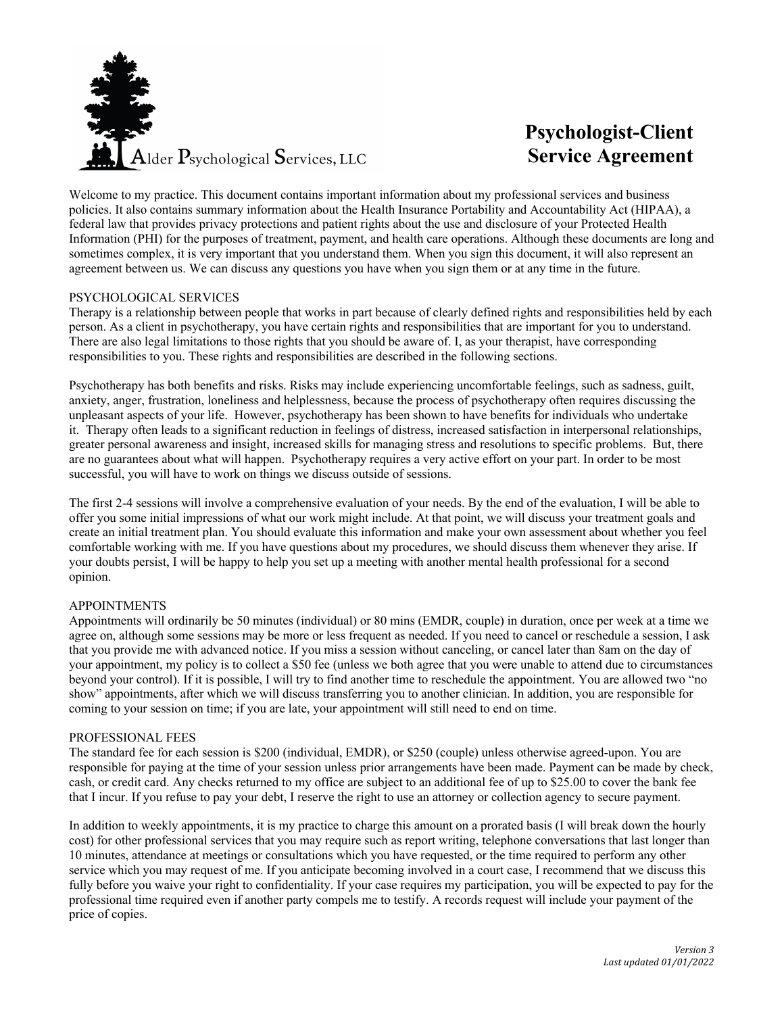

# **Psychologist-Client Service Agreement**

Welcome to my practice. This document contains important information about my professional services and business policies. It also contains summary information about the Health Insurance Portability and Accountability Act (HIPAA), a federal law that provides privacy protections and patient rights about the use and disclosure of your Protected Health Information (PHI) for the purposes of treatment, payment, and health care operations. Although these documents are long and sometimes complex, it is very important that you understand them. When you sign this document, it will also represent an agreement between us. We can discuss any questions you have when you sign them or at any time in the future.

## PSYCHOLOGICAL SERVICES

Therapy is a relationship between people that works in part because of clearly defined rights and responsibilities held by each person. As a client in psychotherapy, you have certain rights and responsibilities that are important for you to understand. There are also legal limitations to those rights that you should be aware of. I, as your therapist, have corresponding responsibilities to you. These rights and responsibilities are described in the following sections.

Psychotherapy has both benefits and risks. Risks may include experiencing uncomfortable feelings, such as sadness, guilt, anxiety, anger, frustration, loneliness and helplessness, because the process of psychotherapy often requires discussing the unpleasant aspects of your life. However, psychotherapy has been shown to have benefits for individuals who undertake it. Therapy often leads to a significant reduction in feelings of distress, increased satisfaction in interpersonal relationships, greater personal awareness and insight, increased skills for managing stress and resolutions to specific problems. But, there are no guarantees about what will happen. Psychotherapy requires a very active effort on your part. In order to be most successful, you will have to work on things we discuss outside of sessions.

The first 2-4 sessions will involve a comprehensive evaluation of your needs. By the end of the evaluation, I will be able to offer you some initial impressions of what our work might include. At that point, we will discuss your treatment goals and create an initial treatment plan. You should evaluate this information and make your own assessment about whether you feel comfortable working with me. If you have questions about my procedures, we should discuss them whenever they arise. If your doubts persist, I will be happy to help you set up a meeting with another mental health professional for a second opinion.

## APPOINTMENTS

Appointments will ordinarily be 50 minutes (individual) or 80 mins (EMDR, couple) in duration, once per week at a time we agree on, although some sessions may be more or less frequent as needed. If you need to cancel or reschedule a session, I ask that you provide me with advanced notice. If you miss a session without canceling, or cancel later than 8am on the day of your appointment, my policy is to collect a \$50 fee (unless we both agree that you were unable to attend due to circumstances beyond your control). If it is possible, I will try to find another time to reschedule the appointment. You are allowed two "no show" appointments, after which we will discuss transferring you to another clinician. In addition, you are responsible for coming to your session on time; if you are late, your appointment will still need to end on time.

## PROFESSIONAL FEES

The standard fee for each session is \$200 (individual, EMDR), or \$250 (couple) unless otherwise agreed-upon. You are responsible for paying at the time of your session unless prior arrangements have been made. Payment can be made by check, cash, or credit card. Any checks returned to my office are subject to an additional fee of up to \$25.00 to cover the bank fee that I incur. If you refuse to pay your debt, I reserve the right to use an attorney or collection agency to secure payment.

In addition to weekly appointments, it is my practice to charge this amount on a prorated basis (I will break down the hourly cost) for other professional services that you may require such as report writing, telephone conversations that last longer than 10 minutes, attendance at meetings or consultations which you have requested, or the time required to perform any other service which you may request of me. If you anticipate becoming involved in a court case, I recommend that we discuss this fully before you waive your right to confidentiality. If your case requires my participation, you will be expected to pay for the professional time required even if another party compels me to testify. A records request will include your payment of the price of copies.